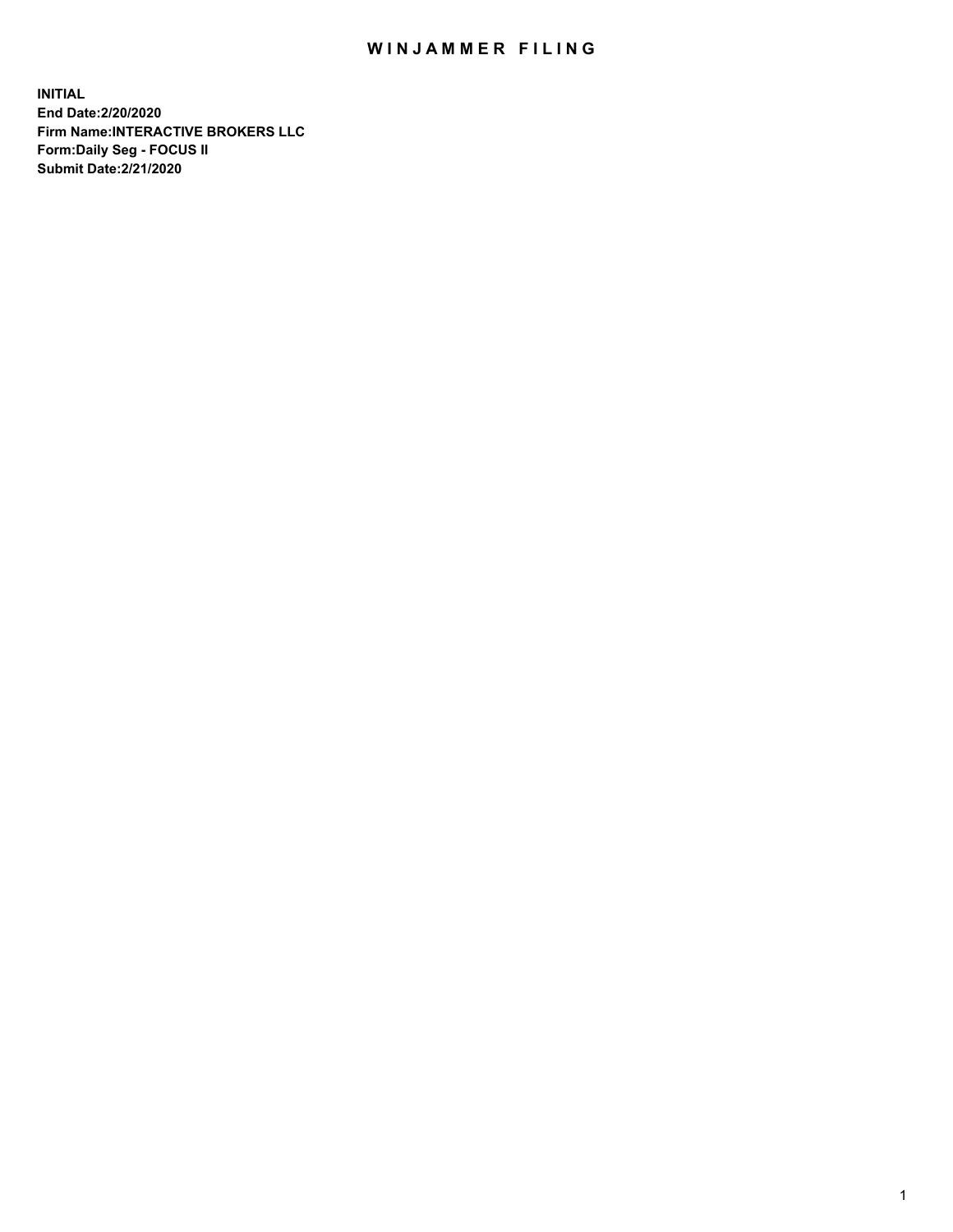## WIN JAMMER FILING

**INITIAL End Date:2/20/2020 Firm Name:INTERACTIVE BROKERS LLC Form:Daily Seg - FOCUS II Submit Date:2/21/2020**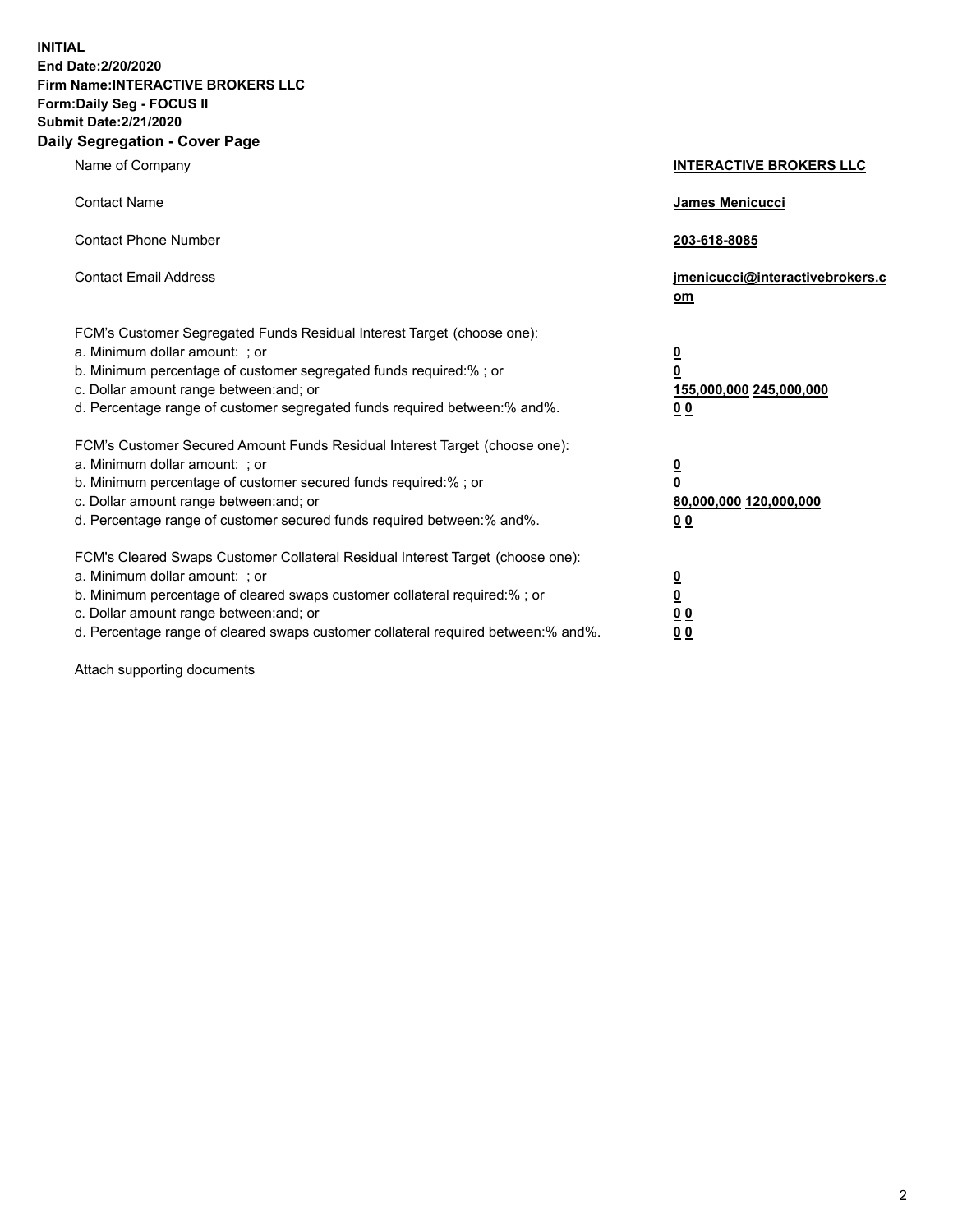**INITIAL End Date:2/20/2020 Firm Name:INTERACTIVE BROKERS LLC Form:Daily Seg - FOCUS II Submit Date:2/21/2020 Daily Segregation - Cover Page**

| Name of Company                                                                                                                                                                                                                                                                                                                | <b>INTERACTIVE BROKERS LLC</b>                                                                  |
|--------------------------------------------------------------------------------------------------------------------------------------------------------------------------------------------------------------------------------------------------------------------------------------------------------------------------------|-------------------------------------------------------------------------------------------------|
| <b>Contact Name</b>                                                                                                                                                                                                                                                                                                            | <b>James Menicucci</b>                                                                          |
| <b>Contact Phone Number</b>                                                                                                                                                                                                                                                                                                    | 203-618-8085                                                                                    |
| <b>Contact Email Address</b>                                                                                                                                                                                                                                                                                                   | jmenicucci@interactivebrokers.c<br>om                                                           |
| FCM's Customer Segregated Funds Residual Interest Target (choose one):<br>a. Minimum dollar amount: ; or<br>b. Minimum percentage of customer segregated funds required:%; or<br>c. Dollar amount range between: and; or<br>d. Percentage range of customer segregated funds required between:% and%.                          | $\overline{\mathbf{0}}$<br>$\overline{\mathbf{0}}$<br>155,000,000 245,000,000<br>0 <sub>0</sub> |
| FCM's Customer Secured Amount Funds Residual Interest Target (choose one):<br>a. Minimum dollar amount: ; or<br>b. Minimum percentage of customer secured funds required:%; or<br>c. Dollar amount range between: and; or<br>d. Percentage range of customer secured funds required between:% and%.                            | <u>0</u><br>$\overline{\mathbf{0}}$<br>80,000,000 120,000,000<br>0 <sub>0</sub>                 |
| FCM's Cleared Swaps Customer Collateral Residual Interest Target (choose one):<br>a. Minimum dollar amount: ; or<br>b. Minimum percentage of cleared swaps customer collateral required:% ; or<br>c. Dollar amount range between: and; or<br>d. Percentage range of cleared swaps customer collateral required between:% and%. | <u>0</u><br>$\underline{\mathbf{0}}$<br>0 <sub>0</sub><br>00                                    |

Attach supporting documents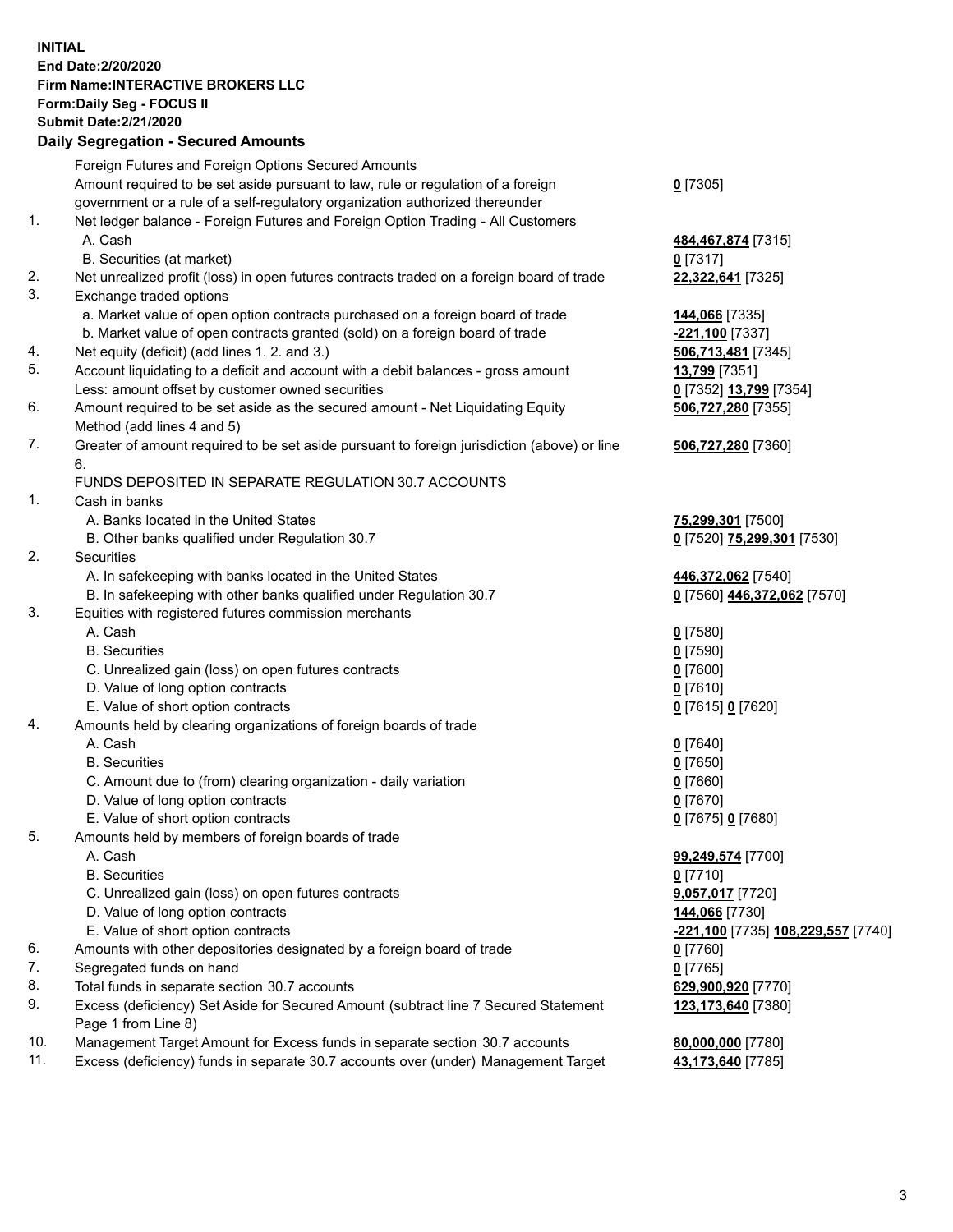**INITIAL End Date:2/20/2020 Firm Name:INTERACTIVE BROKERS LLC Form:Daily Seg - FOCUS II Submit Date:2/21/2020 Daily Segregation - Secured Amounts**

|     | Dany Ocgregation - Occarea Anioante                                                                        |                                                 |
|-----|------------------------------------------------------------------------------------------------------------|-------------------------------------------------|
|     | Foreign Futures and Foreign Options Secured Amounts                                                        |                                                 |
|     | Amount required to be set aside pursuant to law, rule or regulation of a foreign                           | $0$ [7305]                                      |
|     | government or a rule of a self-regulatory organization authorized thereunder                               |                                                 |
| 1.  | Net ledger balance - Foreign Futures and Foreign Option Trading - All Customers                            |                                                 |
|     | A. Cash                                                                                                    | 484,467,874 [7315]                              |
|     | B. Securities (at market)                                                                                  | $0$ [7317]                                      |
| 2.  | Net unrealized profit (loss) in open futures contracts traded on a foreign board of trade                  | 22,322,641 [7325]                               |
| 3.  | Exchange traded options                                                                                    |                                                 |
|     | a. Market value of open option contracts purchased on a foreign board of trade                             | 144,066 [7335]                                  |
|     | b. Market value of open contracts granted (sold) on a foreign board of trade                               | <mark>-221,100</mark> [7337]                    |
| 4.  | Net equity (deficit) (add lines 1. 2. and 3.)                                                              | 506,713,481 [7345]                              |
| 5.  | Account liquidating to a deficit and account with a debit balances - gross amount                          | 13,799 [7351]                                   |
|     | Less: amount offset by customer owned securities                                                           | 0 [7352] 13,799 [7354]                          |
| 6.  | Amount required to be set aside as the secured amount - Net Liquidating Equity                             | 506,727,280 [7355]                              |
|     | Method (add lines 4 and 5)                                                                                 |                                                 |
| 7.  | Greater of amount required to be set aside pursuant to foreign jurisdiction (above) or line                | 506,727,280 [7360]                              |
|     | 6.                                                                                                         |                                                 |
|     | FUNDS DEPOSITED IN SEPARATE REGULATION 30.7 ACCOUNTS                                                       |                                                 |
| 1.  | Cash in banks                                                                                              |                                                 |
|     | A. Banks located in the United States                                                                      | 75,299,301 [7500]                               |
|     | B. Other banks qualified under Regulation 30.7                                                             | 0 [7520] 75,299,301 [7530]                      |
| 2.  | Securities                                                                                                 |                                                 |
|     | A. In safekeeping with banks located in the United States                                                  | 446,372,062 [7540]                              |
|     | B. In safekeeping with other banks qualified under Regulation 30.7                                         | 0 [7560] 446,372,062 [7570]                     |
| 3.  | Equities with registered futures commission merchants                                                      |                                                 |
|     | A. Cash                                                                                                    | $0$ [7580]                                      |
|     | <b>B.</b> Securities                                                                                       | $0$ [7590]                                      |
|     | C. Unrealized gain (loss) on open futures contracts                                                        | $0$ [7600]                                      |
|     | D. Value of long option contracts                                                                          | $0$ [7610]                                      |
|     | E. Value of short option contracts                                                                         | 0 [7615] 0 [7620]                               |
| 4.  | Amounts held by clearing organizations of foreign boards of trade                                          |                                                 |
|     | A. Cash                                                                                                    | $0$ [7640]                                      |
|     | <b>B.</b> Securities                                                                                       | $0$ [7650]                                      |
|     | C. Amount due to (from) clearing organization - daily variation                                            | $0$ [7660]                                      |
|     | D. Value of long option contracts                                                                          | $0$ [7670]                                      |
|     | E. Value of short option contracts                                                                         | 0 [7675] 0 [7680]                               |
| 5.  | Amounts held by members of foreign boards of trade                                                         |                                                 |
|     | A. Cash                                                                                                    | 99,249,574 [7700]                               |
|     | <b>B.</b> Securities                                                                                       | $0$ [7710]                                      |
|     | C. Unrealized gain (loss) on open futures contracts                                                        | 9,057,017 [7720]                                |
|     | D. Value of long option contracts                                                                          | 144,066 [7730]                                  |
|     | E. Value of short option contracts                                                                         | <mark>-221,100</mark> [7735] 108,229,557 [7740] |
| 6.  | Amounts with other depositories designated by a foreign board of trade                                     | $0$ [7760]                                      |
| 7.  | Segregated funds on hand                                                                                   | $0$ [7765]                                      |
| 8.  | Total funds in separate section 30.7 accounts                                                              | 629,900,920 [7770]                              |
| 9.  | Excess (deficiency) Set Aside for Secured Amount (subtract line 7 Secured Statement<br>Page 1 from Line 8) | 123,173,640 [7380]                              |
| 10. | Management Target Amount for Excess funds in separate section 30.7 accounts                                | 80,000,000 [7780]                               |
| 11. | Excess (deficiency) funds in separate 30.7 accounts over (under) Management Target                         | 43,173,640 [7785]                               |
|     |                                                                                                            |                                                 |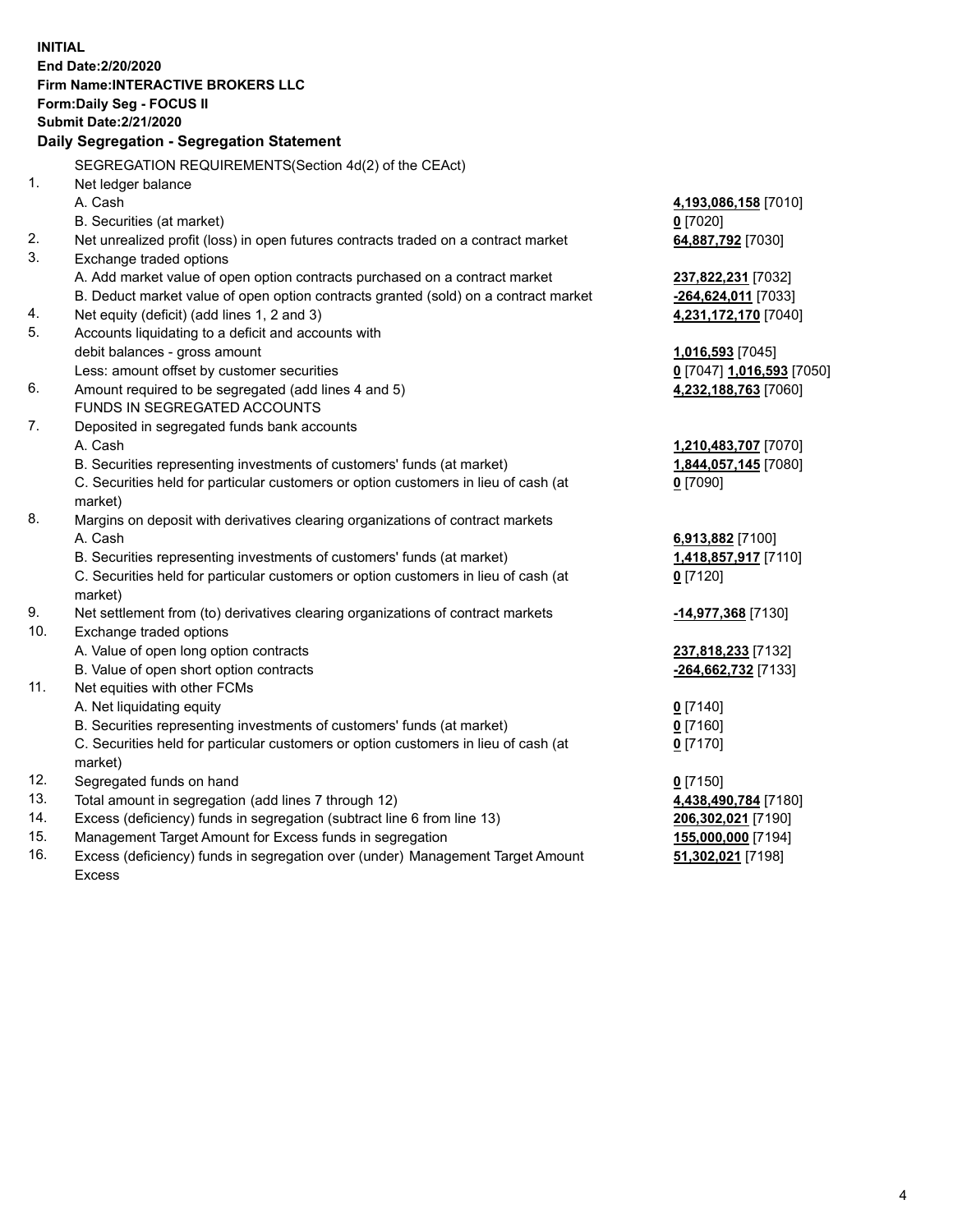**INITIAL End Date:2/20/2020 Firm Name:INTERACTIVE BROKERS LLC Form:Daily Seg - FOCUS II Submit Date:2/21/2020 Daily Segregation - Segregation Statement** SEGREGATION REQUIREMENTS(Section 4d(2) of the CEAct) 1. Net ledger balance A. Cash **4,193,086,158** [7010] B. Securities (at market) **0** [7020] 2. Net unrealized profit (loss) in open futures contracts traded on a contract market **64,887,792** [7030] 3. Exchange traded options A. Add market value of open option contracts purchased on a contract market **237,822,231** [7032] B. Deduct market value of open option contracts granted (sold) on a contract market **-264,624,011** [7033] 4. Net equity (deficit) (add lines 1, 2 and 3) **4,231,172,170** [7040] 5. Accounts liquidating to a deficit and accounts with debit balances - gross amount **1,016,593** [7045] Less: amount offset by customer securities **0** [7047] **1,016,593** [7050] 6. Amount required to be segregated (add lines 4 and 5) **4,232,188,763** [7060] FUNDS IN SEGREGATED ACCOUNTS 7. Deposited in segregated funds bank accounts A. Cash **1,210,483,707** [7070] B. Securities representing investments of customers' funds (at market) **1,844,057,145** [7080] C. Securities held for particular customers or option customers in lieu of cash (at market) **0** [7090] 8. Margins on deposit with derivatives clearing organizations of contract markets A. Cash **6,913,882** [7100] B. Securities representing investments of customers' funds (at market) **1,418,857,917** [7110] C. Securities held for particular customers or option customers in lieu of cash (at market) **0** [7120] 9. Net settlement from (to) derivatives clearing organizations of contract markets **-14,977,368** [7130] 10. Exchange traded options A. Value of open long option contracts **237,818,233** [7132] B. Value of open short option contracts **-264,662,732** [7133] 11. Net equities with other FCMs A. Net liquidating equity **0** [7140] B. Securities representing investments of customers' funds (at market) **0** [7160] C. Securities held for particular customers or option customers in lieu of cash (at market) **0** [7170] 12. Segregated funds on hand **0** [7150] 13. Total amount in segregation (add lines 7 through 12) **4,438,490,784** [7180] 14. Excess (deficiency) funds in segregation (subtract line 6 from line 13) **206,302,021** [7190] 15. Management Target Amount for Excess funds in segregation **155,000,000** [7194] 16. Excess (deficiency) funds in segregation over (under) Management Target Amount **51,302,021** [7198]

Excess